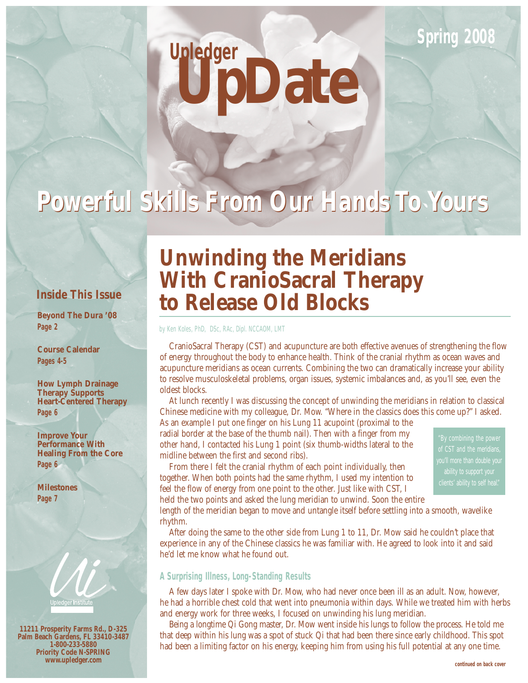### **Spring 2008**

# **UpDate Upledger**

## *Powerful Skills From Our Hands To Yours Powerful Skills From Our Hands To Yours*

#### **Inside This Issue**

**Beyond The Dura '08 Page 2**

**Course Calendar Pages 4-5**

**How Lymph Drainage Therapy Supports Heart-Centered Therapy Page 6**

**Improve Your Performance With Healing From the Core Page 6**

**Milestones Page 7**



**11211 Prosperity Farms Rd., D-325 Palm Beach Gardens, FL 33410-3487 1-800-233-5880 Priority Code N-SPRING www.upledger.com**

### **Unwinding the Meridians With CranioSacral Therapy to Release Old Blocks**

by Ken Koles, PhD, DSc, RAc, Dipl. NCCAOM, LMT

CranioSacral Therapy (CST) and acupuncture are both effective avenues of strengthening the flow of energy throughout the body to enhance health. Think of the cranial rhythm as ocean waves and acupuncture meridians as ocean currents. Combining the two can dramatically increase your ability to resolve musculoskeletal problems, organ issues, systemic imbalances and, as you'll see, even the oldest blocks.

At lunch recently I was discussing the concept of unwinding the meridians in relation to classical Chinese medicine with my colleague, Dr. Mow. "Where in the classics does this come up?" I asked.

As an example I put one finger on his Lung 11 acupoint (proximal to the radial border at the base of the thumb nail). Then with a finger from my other hand, I contacted his Lung 1 point (six thumb-widths lateral to the midline between the first and second ribs).

From there I felt the cranial rhythm of each point individually, then together. When both points had the same rhythm, I used my intention to feel the flow of energy from one point to the other. Just like with CST, I

of CST and the meridians, ability to support your

held the two points and asked the lung meridian to unwind. Soon the entire length of the meridian began to move and untangle itself before settling into a smooth, wavelike

rhythm. After doing the same to the other side from Lung 1 to 11, Dr. Mow said he couldn't place that experience in any of the Chinese classics he was familiar with. He agreed to look into it and said he'd let me know what he found out.

#### **A Surprising Illness, Long-Standing Results**

A few days later I spoke with Dr. Mow, who had never once been ill as an adult. Now, however, he had a horrible chest cold that went into pneumonia within days. While we treated him with herbs and energy work for three weeks, I focused on unwinding his lung meridian.

Being a longtime Qi Gong master, Dr. Mow went inside his lungs to follow the process. He told me that deep within his lung was a spot of stuck Qi that had been there since early childhood. This spot had been a limiting factor on his energy, keeping him from using his full potential at any one time.